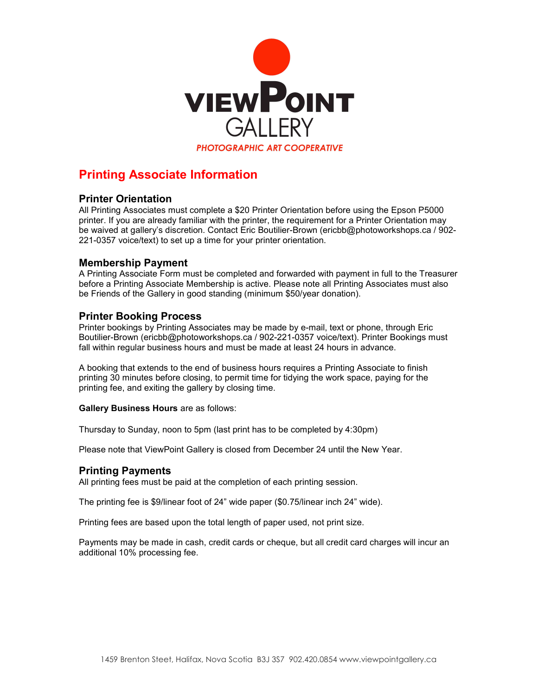

## Printing Associate Information

### Printer Orientation

All Printing Associates must complete a \$20 Printer Orientation before using the Epson P5000 printer. If you are already familiar with the printer, the requirement for a Printer Orientation may be waived at gallery's discretion. Contact Eric Boutilier-Brown (ericbb@photoworkshops.ca / 902- 221-0357 voice/text) to set up a time for your printer orientation.

#### Membership Payment

A Printing Associate Form must be completed and forwarded with payment in full to the Treasurer before a Printing Associate Membership is active. Please note all Printing Associates must also be Friends of the Gallery in good standing (minimum \$50/year donation).

#### Printer Booking Process

Printer bookings by Printing Associates may be made by e-mail, text or phone, through Eric Boutilier-Brown (ericbb@photoworkshops.ca / 902-221-0357 voice/text). Printer Bookings must fall within regular business hours and must be made at least 24 hours in advance.

A booking that extends to the end of business hours requires a Printing Associate to finish printing 30 minutes before closing, to permit time for tidying the work space, paying for the printing fee, and exiting the gallery by closing time.

Gallery Business Hours are as follows:

Thursday to Sunday, noon to 5pm (last print has to be completed by 4:30pm)

Please note that ViewPoint Gallery is closed from December 24 until the New Year.

### Printing Payments

All printing fees must be paid at the completion of each printing session.

The printing fee is \$9/linear foot of 24" wide paper (\$0.75/linear inch 24" wide).

Printing fees are based upon the total length of paper used, not print size.

Payments may be made in cash, credit cards or cheque, but all credit card charges will incur an additional 10% processing fee.